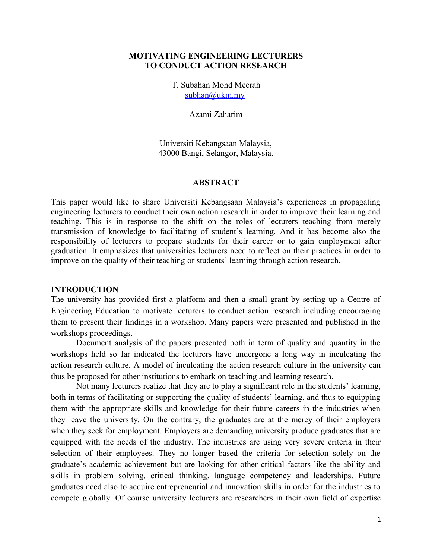#### **MOTIVATING ENGINEERING LECTURERS TO CONDUCT ACTION RESEARCH**

T. Subahan Mohd Meerah  $subhan@$ ukm.my

Azami Zaharim

Universiti Kebangsaan Malaysia, 43000 Bangi, Selangor, Malaysia.

#### **ABSTRACT**

This paper would like to share Universiti Kebangsaan Malaysia's experiences in propagating engineering lecturers to conduct their own action research in order to improve their learning and teaching. This is in response to the shift on the roles of lecturers teaching from merely transmission of knowledge to facilitating of student's learning. And it has become also the responsibility of lecturers to prepare students for their career or to gain employment after graduation. It emphasizes that universities lecturers need to reflect on their practices in order to improve on the quality of their teaching or students' learning through action research.

#### **INTRODUCTION**

The university has provided first a platform and then a small grant by setting up a Centre of Engineering Education to motivate lecturers to conduct action research including encouraging them to present their findings in a workshop. Many papers were presented and published in the workshops proceedings.

Document analysis of the papers presented both in term of quality and quantity in the workshops held so far indicated the lecturers have undergone a long way in inculcating the action research culture. A model of inculcating the action research culture in the university can thus be proposed for other institutions to embark on teaching and learning research.

Not many lecturers realize that they are to play a significant role in the students' learning, both in terms of facilitating or supporting the quality of students' learning, and thus to equipping them with the appropriate skills and knowledge for their future careers in the industries when they leave the university. On the contrary, the graduates are at the mercy of their employers when they seek for employment. Employers are demanding university produce graduates that are equipped with the needs of the industry. The industries are using very severe criteria in their selection of their employees. They no longer based the criteria for selection solely on the graduate's academic achievement but are looking for other critical factors like the ability and skills in problem solving, critical thinking, language competency and leaderships. Future graduates need also to acquire entrepreneurial and innovation skills in order for the industries to compete globally. Of course university lecturers are researchers in their own field of expertise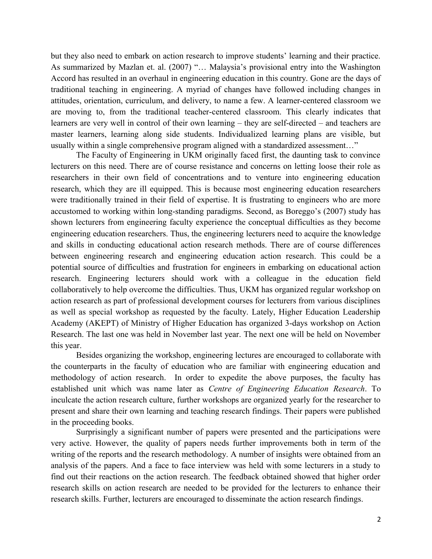but they also need to embark on action research to improve students' learning and their practice. As summarized by Mazlan et. al. (2007) "… Malaysia's provisional entry into the Washington Accord has resulted in an overhaul in engineering education in this country. Gone are the days of traditional teaching in engineering. A myriad of changes have followed including changes in attitudes, orientation, curriculum, and delivery, to name a few. A learner-centered classroom we are moving to, from the traditional teacher-centered classroom. This clearly indicates that learners are very well in control of their own learning – they are self-directed – and teachers are master learners, learning along side students. Individualized learning plans are visible, but usually within a single comprehensive program aligned with a standardized assessment…"

The Faculty of Engineering in UKM originally faced first, the daunting task to convince lecturers on this need. There are of course resistance and concerns on letting loose their role as researchers in their own field of concentrations and to venture into engineering education research, which they are ill equipped. This is because most engineering education researchers were traditionally trained in their field of expertise. It is frustrating to engineers who are more accustomed to working within long-standing paradigms. Second, as Boreggo's (2007) study has shown lecturers from engineering faculty experience the conceptual difficulties as they become engineering education researchers. Thus, the engineering lecturers need to acquire the knowledge and skills in conducting educational action research methods. There are of course differences between engineering research and engineering education action research. This could be a potential source of difficulties and frustration for engineers in embarking on educational action research. Engineering lecturers should work with a colleague in the education field collaboratively to help overcome the difficulties. Thus, UKM has organized regular workshop on action research as part of professional development courses for lecturers from various disciplines as well as special workshop as requested by the faculty. Lately, Higher Education Leadership Academy (AKEPT) of Ministry of Higher Education has organized 3-days workshop on Action Research. The last one was held in November last year. The next one will be held on November this year.

Besides organizing the workshop, engineering lectures are encouraged to collaborate with the counterparts in the faculty of education who are familiar with engineering education and methodology of action research. In order to expedite the above purposes, the faculty has established unit which was name later as *Centre of Engineering Education Research*. To inculcate the action research culture, further workshops are organized yearly for the researcher to present and share their own learning and teaching research findings. Their papers were published in the proceeding books.

Surprisingly a significant number of papers were presented and the participations were very active. However, the quality of papers needs further improvements both in term of the writing of the reports and the research methodology. A number of insights were obtained from an analysis of the papers. And a face to face interview was held with some lecturers in a study to find out their reactions on the action research. The feedback obtained showed that higher order research skills on action research are needed to be provided for the lecturers to enhance their research skills. Further, lecturers are encouraged to disseminate the action research findings.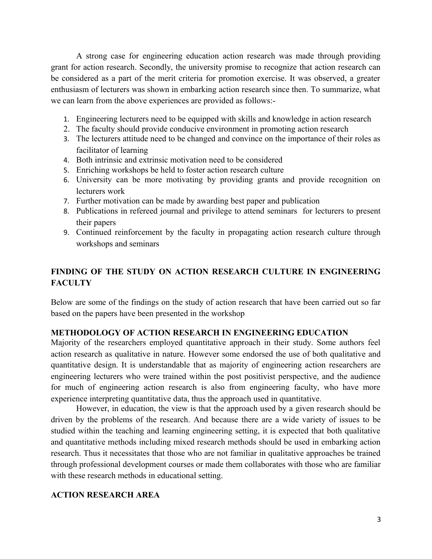A strong case for engineering education action research was made through providing grant for action research. Secondly, the university promise to recognize that action research can be considered as a part of the merit criteria for promotion exercise. It was observed, a greater enthusiasm of lecturers was shown in embarking action research since then. To summarize, what we can learn from the above experiences are provided as follows:-

- 1. Engineering lecturers need to be equipped with skills and knowledge in action research
- 2. The faculty should provide conducive environment in promoting action research
- 3. The lecturers attitude need to be changed and convince on the importance of their roles as facilitator of learning
- 4. Both intrinsic and extrinsic motivation need to be considered
- 5. Enriching workshops be held to foster action research culture
- 6. University can be more motivating by providing grants and provide recognition on lecturers work
- 7. Further motivation can be made by awarding best paper and publication
- 8. Publications in refereed journal and privilege to attend seminars for lecturers to present their papers
- 9. Continued reinforcement by the faculty in propagating action research culture through workshops and seminars

# **FINDING OF THE STUDY ON ACTION RESEARCH CULTURE IN ENGINEERING FACULTY**

Below are some of the findings on the study of action research that have been carried out so far based on the papers have been presented in the workshop

### **METHODOLOGY OF ACTION RESEARCH IN ENGINEERING EDUCATION**

Majority of the researchers employed quantitative approach in their study. Some authors feel action research as qualitative in nature. However some endorsed the use of both qualitative and quantitative design. It is understandable that as majority of engineering action researchers are engineering lecturers who were trained within the post positivist perspective, and the audience for much of engineering action research is also from engineering faculty, who have more experience interpreting quantitative data, thus the approach used in quantitative.

However, in education, the view is that the approach used by a given research should be driven by the problems of the research. And because there are a wide variety of issues to be studied within the teaching and learning engineering setting, it is expected that both qualitative and quantitative methods including mixed research methods should be used in embarking action research. Thus it necessitates that those who are not familiar in qualitative approaches be trained through professional development courses or made them collaborates with those who are familiar with these research methods in educational setting.

### **ACTION RESEARCH AREA**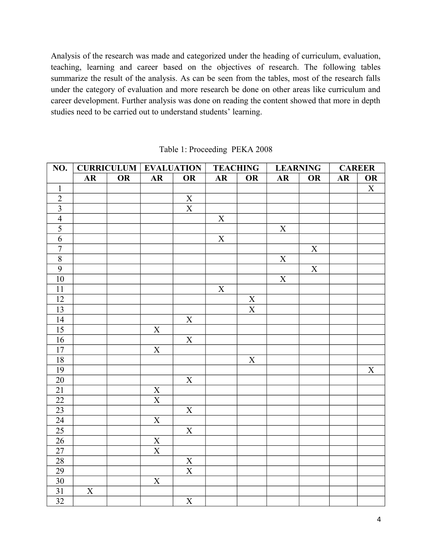Analysis of the research was made and categorized under the heading of curriculum, evaluation, teaching, learning and career based on the objectives of research. The following tables summarize the result of the analysis. As can be seen from the tables, most of the research falls under the category of evaluation and more research be done on other areas like curriculum and career development. Further analysis was done on reading the content showed that more in depth studies need to be carried out to understand students' learning.

| NO.                         |             |           | <b>CURRICULUM EVALUATION</b> |                         | <b>TEACHING</b>         |                         | <b>LEARNING</b> |                         | <b>CAREER</b> |                         |
|-----------------------------|-------------|-----------|------------------------------|-------------------------|-------------------------|-------------------------|-----------------|-------------------------|---------------|-------------------------|
|                             | ${\bf AR}$  | <b>OR</b> | ${\bf AR}$                   | OR                      | ${\bf AR}$              | OR                      | ${\bf AR}$      | <b>OR</b>               | ${\bf AR}$    | OR                      |
| $\mathbf{1}$                |             |           |                              |                         |                         |                         |                 |                         |               | $\overline{\mathbf{X}}$ |
|                             |             |           |                              | $\underline{X}$         |                         |                         |                 |                         |               |                         |
| $\frac{2}{3}$ $\frac{4}{5}$ |             |           |                              | $\overline{\mathbf{X}}$ |                         |                         |                 |                         |               |                         |
|                             |             |           |                              |                         | $\mathbf X$             |                         |                 |                         |               |                         |
|                             |             |           |                              |                         |                         |                         | $\mathbf X$     |                         |               |                         |
| $\overline{6}$              |             |           |                              |                         | $\overline{\mathbf{X}}$ |                         |                 |                         |               |                         |
| $\overline{7}$              |             |           |                              |                         |                         |                         |                 | $\overline{\mathbf{X}}$ |               |                         |
| $\overline{8}$              |             |           |                              |                         |                         |                         | $\overline{X}$  |                         |               |                         |
| $\overline{9}$              |             |           |                              |                         |                         |                         |                 | $\overline{\textbf{X}}$ |               |                         |
| $10\,$                      |             |           |                              |                         |                         |                         | $\mathbf X$     |                         |               |                         |
| 11                          |             |           |                              |                         | $\mathbf X$             |                         |                 |                         |               |                         |
| 12                          |             |           |                              |                         |                         | $\mathbf X$             |                 |                         |               |                         |
| 13                          |             |           |                              |                         |                         | $\overline{\mathbf{X}}$ |                 |                         |               |                         |
| $\overline{14}$             |             |           |                              | $\mathbf X$             |                         |                         |                 |                         |               |                         |
| 15                          |             |           | $\boldsymbol{X}$             |                         |                         |                         |                 |                         |               |                         |
| 16                          |             |           |                              | $\overline{X}$          |                         |                         |                 |                         |               |                         |
| 17                          |             |           | $\mathbf X$                  |                         |                         |                         |                 |                         |               |                         |
| $18\,$                      |             |           |                              |                         |                         | $\mathbf X$             |                 |                         |               |                         |
| 19                          |             |           |                              |                         |                         |                         |                 |                         |               | $\mathbf X$             |
| 20                          |             |           |                              | $\mathbf X$             |                         |                         |                 |                         |               |                         |
| $\overline{21}$             |             |           | $\mathbf X$                  |                         |                         |                         |                 |                         |               |                         |
| $\overline{22}$             |             |           | $\overline{\textbf{X}}$      |                         |                         |                         |                 |                         |               |                         |
| $\overline{23}$             |             |           |                              | $\overline{\textbf{X}}$ |                         |                         |                 |                         |               |                         |
| $\overline{24}$             |             |           | $\mathbf X$                  |                         |                         |                         |                 |                         |               |                         |
| 25                          |             |           |                              | $\mathbf X$             |                         |                         |                 |                         |               |                         |
| $26\,$                      |             |           | $\mathbf{X}$                 |                         |                         |                         |                 |                         |               |                         |
| $\overline{27}$             |             |           | $\overline{\textbf{X}}$      |                         |                         |                         |                 |                         |               |                         |
| $\overline{28}$             |             |           |                              | $\mathbf{X}$            |                         |                         |                 |                         |               |                         |
| 29                          |             |           |                              | $\overline{\textbf{X}}$ |                         |                         |                 |                         |               |                         |
| 30                          |             |           | $\mathbf X$                  |                         |                         |                         |                 |                         |               |                         |
| 31                          | $\mathbf X$ |           |                              |                         |                         |                         |                 |                         |               |                         |
| $\overline{32}$             |             |           |                              | $\mathbf X$             |                         |                         |                 |                         |               |                         |

| Table 1: Proceeding PEKA 2008 |  |  |
|-------------------------------|--|--|
|-------------------------------|--|--|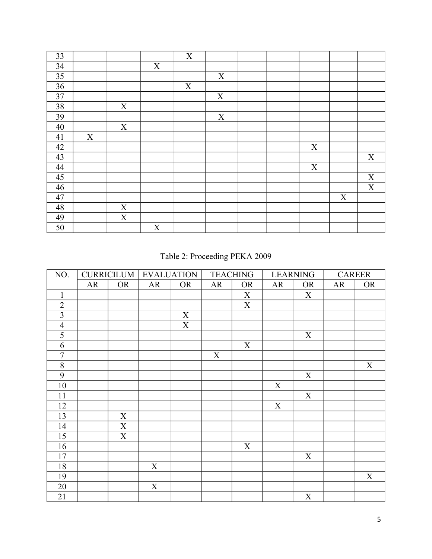| 33     |   |             |             | X           |             |  |   |             |             |
|--------|---|-------------|-------------|-------------|-------------|--|---|-------------|-------------|
| 34     |   |             | X           |             |             |  |   |             |             |
| 35     |   |             |             |             | X           |  |   |             |             |
| 36     |   |             |             | $\mathbf X$ |             |  |   |             |             |
| 37     |   |             |             |             | $\mathbf X$ |  |   |             |             |
| $38\,$ |   | X           |             |             |             |  |   |             |             |
| 39     |   |             |             |             | $\mathbf X$ |  |   |             |             |
| 40     |   | X           |             |             |             |  |   |             |             |
| 41     | X |             |             |             |             |  |   |             |             |
| 42     |   |             |             |             |             |  | X |             |             |
| 43     |   |             |             |             |             |  |   |             | X           |
| 44     |   |             |             |             |             |  | X |             |             |
| 45     |   |             |             |             |             |  |   |             | X           |
| 46     |   |             |             |             |             |  |   |             | $\mathbf X$ |
| 47     |   |             |             |             |             |  |   | $\mathbf X$ |             |
| 48     |   | X           |             |             |             |  |   |             |             |
| 49     |   | $\mathbf X$ |             |             |             |  |   |             |             |
| 50     |   |             | $\mathbf X$ |             |             |  |   |             |             |

Table 2: Proceeding PEKA 2009

| NO.            | <b>CURRICILUM</b> |           |             | <b>EVALUATION</b> |    | <b>TEACHING</b> |    | <b>LEARNING</b> |    | <b>CAREER</b> |  |
|----------------|-------------------|-----------|-------------|-------------------|----|-----------------|----|-----------------|----|---------------|--|
|                | AR                | <b>OR</b> | AR          | <b>OR</b>         | AR | <b>OR</b>       | AR | <b>OR</b>       | AR | <b>OR</b>     |  |
| $\mathbf{1}$   |                   |           |             |                   |    | X               |    | X               |    |               |  |
| $\overline{2}$ |                   |           |             |                   |    | X               |    |                 |    |               |  |
| $\overline{3}$ |                   |           |             | $\mathbf X$       |    |                 |    |                 |    |               |  |
| $\overline{4}$ |                   |           |             | $\mathbf X$       |    |                 |    |                 |    |               |  |
| 5              |                   |           |             |                   |    |                 |    | X               |    |               |  |
| 6              |                   |           |             |                   |    | X               |    |                 |    |               |  |
| $\overline{7}$ |                   |           |             |                   | X  |                 |    |                 |    |               |  |
| $\,8\,$        |                   |           |             |                   |    |                 |    |                 |    | X             |  |
| 9              |                   |           |             |                   |    |                 |    | X               |    |               |  |
| 10             |                   |           |             |                   |    |                 | X  |                 |    |               |  |
| 11             |                   |           |             |                   |    |                 |    | $\mathbf X$     |    |               |  |
| 12             |                   |           |             |                   |    |                 | X  |                 |    |               |  |
| 13             |                   | X         |             |                   |    |                 |    |                 |    |               |  |
| 14             |                   | X         |             |                   |    |                 |    |                 |    |               |  |
| 15             |                   | X         |             |                   |    |                 |    |                 |    |               |  |
| 16             |                   |           |             |                   |    | $\mathbf X$     |    |                 |    |               |  |
| 17             |                   |           |             |                   |    |                 |    | X               |    |               |  |
| 18             |                   |           | $\mathbf X$ |                   |    |                 |    |                 |    |               |  |
| 19             |                   |           |             |                   |    |                 |    |                 |    | $\mathbf X$   |  |
| 20             |                   |           | X           |                   |    |                 |    |                 |    |               |  |
| 21             |                   |           |             |                   |    |                 |    | $\mathbf X$     |    |               |  |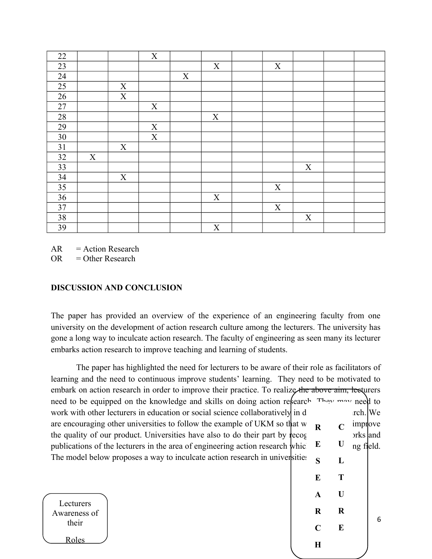| 22              |   |             | X           |   |             |             |   |  |
|-----------------|---|-------------|-------------|---|-------------|-------------|---|--|
| 23              |   |             |             |   | X           | X           |   |  |
| 24              |   |             |             | X |             |             |   |  |
| 25              |   | X           |             |   |             |             |   |  |
| 26              |   | $\mathbf X$ |             |   |             |             |   |  |
| $27\,$          |   |             | $\mathbf X$ |   |             |             |   |  |
| 28              |   |             |             |   | X           |             |   |  |
| 29              |   |             | X           |   |             |             |   |  |
| 30              |   |             | $\mathbf X$ |   |             |             |   |  |
| 31              |   | X           |             |   |             |             |   |  |
| 32              | X |             |             |   |             |             |   |  |
| 33              |   |             |             |   |             |             | X |  |
| 34              |   | X           |             |   |             |             |   |  |
| $\overline{35}$ |   |             |             |   |             | X           |   |  |
| 36              |   |             |             |   | X           |             |   |  |
| 37              |   |             |             |   |             | $\mathbf X$ |   |  |
| 38              |   |             |             |   |             |             | X |  |
| 39              |   |             |             |   | $\mathbf X$ |             |   |  |

 $AR = Action Research$ 

 $OR = Other Research$ 

## **DISCUSSION AND CONCLUSION**

The paper has provided an overview of the experience of an engineering faculty from one university on the development of action research culture among the lecturers. The university has gone a long way to inculcate action research. The faculty of engineering as seen many its lecturer embarks action research to improve teaching and learning of students.

| The paper has highlighted the need for lecturers to be aware of their role as facilitators of     |             |               |           |   |
|---------------------------------------------------------------------------------------------------|-------------|---------------|-----------|---|
| learning and the need to continuous improve students' learning. They need to be motivated to      |             |               |           |   |
| embark on action research in order to improve their practice. To realize the above aim, lecturers |             |               |           |   |
| need to be equipped on the knowledge and skills on doing action refearch They may need to         |             |               |           |   |
| work with other lecturers in education or social science collaboratively in d                     |             |               | rch. We   |   |
| are encouraging other universities to follow the example of UKM so that w                         | $\mathbf R$ | $\mathcal{C}$ | improve   |   |
| the quality of our product. Universities have also to do their part by recog                      |             |               | orks and  |   |
| publications of the lecturers in the area of engineering action research which                    | E           | U             | ng field. |   |
| The model below proposes a way to inculcate action research in universities                       | S           | L             |           |   |
|                                                                                                   | E           | T             |           |   |
|                                                                                                   |             | $\mathbf{U}$  |           |   |
| Lecturers                                                                                         | $\mathbf A$ |               |           |   |
| Awareness of                                                                                      | $\bf{R}$    | $\bf R$       |           |   |
| their                                                                                             | $\mathbf C$ | E             |           | 6 |
|                                                                                                   |             |               |           |   |
| <b>Roles</b>                                                                                      | $\bf H$     |               |           |   |
|                                                                                                   |             |               |           |   |